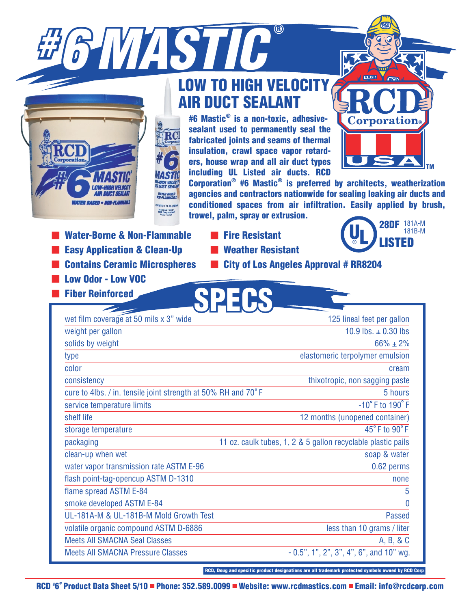



# LOW TO HIGH VELOCIT[Y](www.rcdmastics.com) [A](www.rcdmastics.com)IR DUCT SEALANT

#6 Mastic® is a non-toxic, adhesivesealant used to permanently seal the fabricated joints and seams of thermal insulation, crawl space vapor retarders, house wrap and all air duct types including UL Listed air ducts. RCD



Corporation® #6 Mastic® is preferred by architects, weatherization agencies and contractors nationwide for sealing leaking air ducts and conditioned spaces from air infiltration. Easily applied by brush, trowel, palm, spray or extrusion.

- **Water-Borne & Non-Flammable**
- **Easy Application & Clean-Up**
- **E** Contains Ceramic Microspheres
- **Low Odor Low VOC**
- **Fiber Reinforced** 
	-



**CDEPC** 

**Weather Resistant** 



**E** City of Los Angeles Approval # RR8204

| wet film coverage at 50 mils x 3" wide                        | 125 lineal feet per gallon                                   |
|---------------------------------------------------------------|--------------------------------------------------------------|
| weight per gallon                                             | 10.9 lbs. $\pm$ 0.30 lbs                                     |
| solids by weight                                              | $66\% \pm 2\%$                                               |
| type                                                          | elastomeric terpolymer emulsion                              |
| color                                                         | cream                                                        |
| consistency                                                   | thixotropic, non sagging paste                               |
| cure to 4lbs. / in. tensile joint strength at 50% RH and 70°F | 5 hours                                                      |
| service temperature limits                                    | $-10^{\circ}$ F to $190^{\circ}$ F                           |
| shelf life                                                    | 12 months (unopened container)                               |
| storage temperature                                           | 45°F to 90°F                                                 |
| packaging                                                     | 11 oz. caulk tubes, 1, 2 & 5 gallon recyclable plastic pails |
| clean-up when wet                                             | soap & water                                                 |
| water vapor transmission rate ASTM E-96                       | 0.62 perms                                                   |
| flash point-tag-opencup ASTM D-1310                           | none                                                         |
| flame spread ASTM E-84                                        | 5                                                            |
| smoke developed ASTM E-84                                     | $\mathbf 0$                                                  |
| UL-181A-M & UL-181B-M Mold Growth Test                        | <b>Passed</b>                                                |
| volatile organic compound ASTM D-6886                         | less than 10 grams / liter                                   |
| <b>Meets All SMACNA Seal Classes</b>                          | A, B, & C                                                    |
| <b>Meets All SMACNA Pressure Classes</b>                      | $-0.5$ ", 1", 2", 3", 4", 6", and 10" wg.                    |

RCD, Doug and specific product designations are all trademark protected symbols owned by RCD Corp